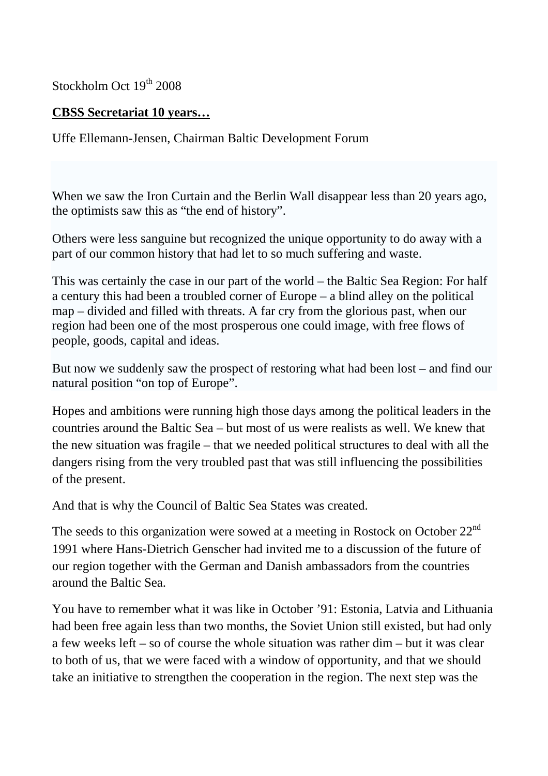Stockholm Oct 19<sup>th</sup> 2008

## **CBSS Secretariat 10 years…**

Uffe Ellemann-Jensen, Chairman Baltic Development Forum

When we saw the Iron Curtain and the Berlin Wall disappear less than 20 years ago, the optimists saw this as "the end of history".

Others were less sanguine but recognized the unique opportunity to do away with a part of our common history that had let to so much suffering and waste.

This was certainly the case in our part of the world – the Baltic Sea Region: For half a century this had been a troubled corner of Europe – a blind alley on the political map – divided and filled with threats. A far cry from the glorious past, when our region had been one of the most prosperous one could image, with free flows of people, goods, capital and ideas.

But now we suddenly saw the prospect of restoring what had been lost – and find our natural position "on top of Europe".

Hopes and ambitions were running high those days among the political leaders in the countries around the Baltic Sea – but most of us were realists as well. We knew that the new situation was fragile – that we needed political structures to deal with all the dangers rising from the very troubled past that was still influencing the possibilities of the present.

And that is why the Council of Baltic Sea States was created.

The seeds to this organization were sowed at a meeting in Rostock on October  $22<sup>nd</sup>$ 1991 where Hans-Dietrich Genscher had invited me to a discussion of the future of our region together with the German and Danish ambassadors from the countries around the Baltic Sea.

You have to remember what it was like in October '91: Estonia, Latvia and Lithuania had been free again less than two months, the Soviet Union still existed, but had only a few weeks left – so of course the whole situation was rather dim – but it was clear to both of us, that we were faced with a window of opportunity, and that we should take an initiative to strengthen the cooperation in the region. The next step was the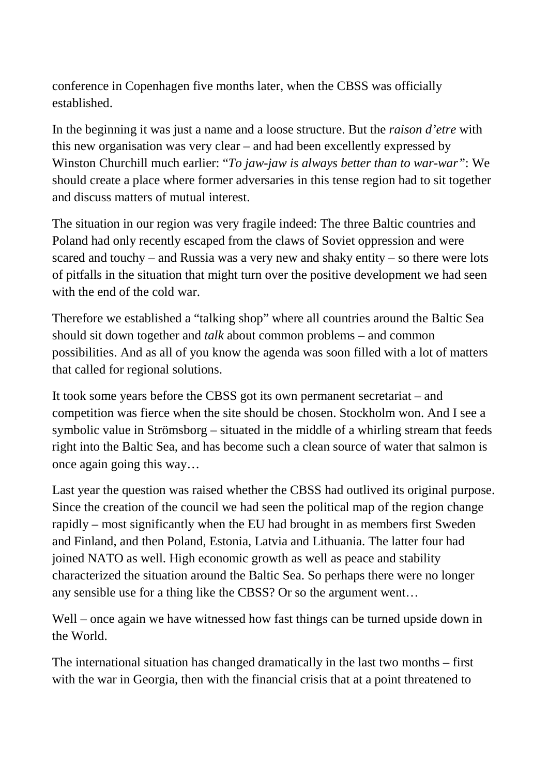conference in Copenhagen five months later, when the CBSS was officially established.

In the beginning it was just a name and a loose structure. But the *raison d'etre* with this new organisation was very clear – and had been excellently expressed by Winston Churchill much earlier: "*To jaw-jaw is always better than to war-war"*: We should create a place where former adversaries in this tense region had to sit together and discuss matters of mutual interest.

The situation in our region was very fragile indeed: The three Baltic countries and Poland had only recently escaped from the claws of Soviet oppression and were scared and touchy – and Russia was a very new and shaky entity – so there were lots of pitfalls in the situation that might turn over the positive development we had seen with the end of the cold war.

Therefore we established a "talking shop" where all countries around the Baltic Sea should sit down together and *talk* about common problems – and common possibilities. And as all of you know the agenda was soon filled with a lot of matters that called for regional solutions.

It took some years before the CBSS got its own permanent secretariat – and competition was fierce when the site should be chosen. Stockholm won. And I see a symbolic value in Strömsborg – situated in the middle of a whirling stream that feeds right into the Baltic Sea, and has become such a clean source of water that salmon is once again going this way…

Last year the question was raised whether the CBSS had outlived its original purpose. Since the creation of the council we had seen the political map of the region change rapidly – most significantly when the EU had brought in as members first Sweden and Finland, and then Poland, Estonia, Latvia and Lithuania. The latter four had joined NATO as well. High economic growth as well as peace and stability characterized the situation around the Baltic Sea. So perhaps there were no longer any sensible use for a thing like the CBSS? Or so the argument went…

Well – once again we have witnessed how fast things can be turned upside down in the World.

The international situation has changed dramatically in the last two months – first with the war in Georgia, then with the financial crisis that at a point threatened to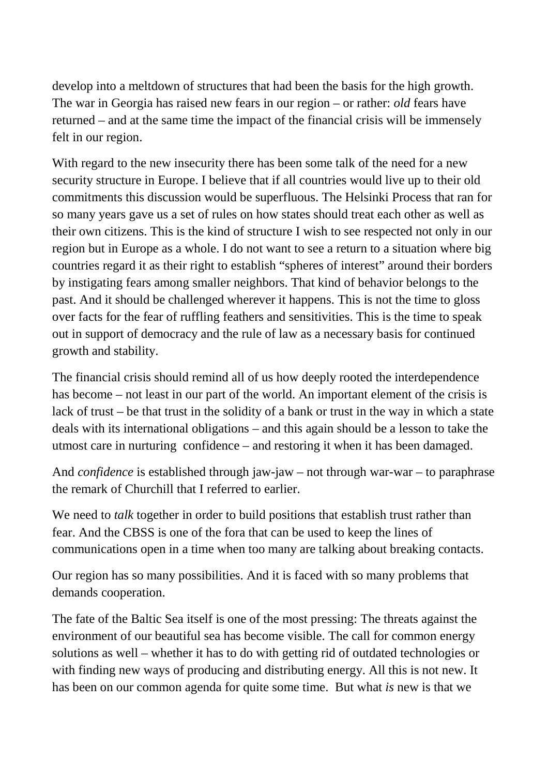develop into a meltdown of structures that had been the basis for the high growth. The war in Georgia has raised new fears in our region – or rather: *old* fears have returned – and at the same time the impact of the financial crisis will be immensely felt in our region.

With regard to the new insecurity there has been some talk of the need for a new security structure in Europe. I believe that if all countries would live up to their old commitments this discussion would be superfluous. The Helsinki Process that ran for so many years gave us a set of rules on how states should treat each other as well as their own citizens. This is the kind of structure I wish to see respected not only in our region but in Europe as a whole. I do not want to see a return to a situation where big countries regard it as their right to establish "spheres of interest" around their borders by instigating fears among smaller neighbors. That kind of behavior belongs to the past. And it should be challenged wherever it happens. This is not the time to gloss over facts for the fear of ruffling feathers and sensitivities. This is the time to speak out in support of democracy and the rule of law as a necessary basis for continued growth and stability.

The financial crisis should remind all of us how deeply rooted the interdependence has become – not least in our part of the world. An important element of the crisis is lack of trust – be that trust in the solidity of a bank or trust in the way in which a state deals with its international obligations – and this again should be a lesson to take the utmost care in nurturing confidence – and restoring it when it has been damaged.

And *confidence* is established through jaw-jaw – not through war-war – to paraphrase the remark of Churchill that I referred to earlier.

We need to *talk* together in order to build positions that establish trust rather than fear. And the CBSS is one of the fora that can be used to keep the lines of communications open in a time when too many are talking about breaking contacts.

Our region has so many possibilities. And it is faced with so many problems that demands cooperation.

The fate of the Baltic Sea itself is one of the most pressing: The threats against the environment of our beautiful sea has become visible. The call for common energy solutions as well – whether it has to do with getting rid of outdated technologies or with finding new ways of producing and distributing energy. All this is not new. It has been on our common agenda for quite some time. But what *is* new is that we